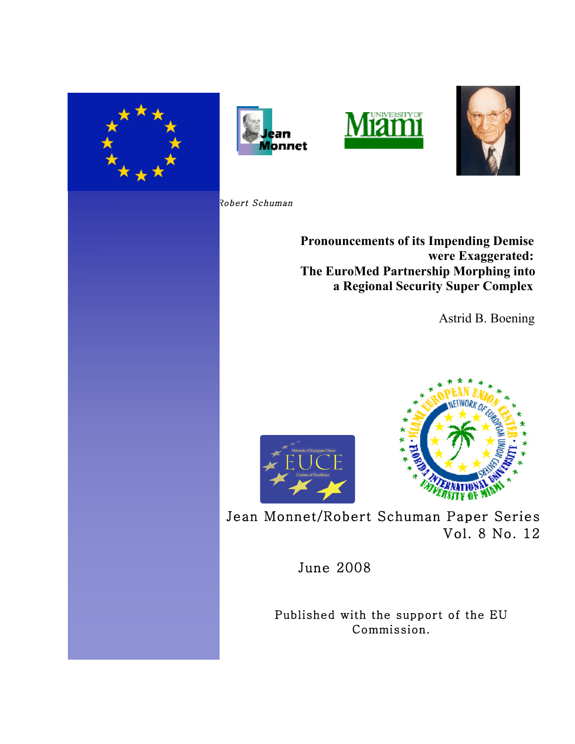







Robert Schuman

. .

I

 **Pronouncements of its Impending Demise were Exaggerated: The EuroMed Partnership Morphing into a Regional Security Super Complex** 

Astrid B. Boening



Jean Monnet/Robert Schuman Paper Series Vol. 8 No. 12

June 2008

Published with the support of the EU Commission.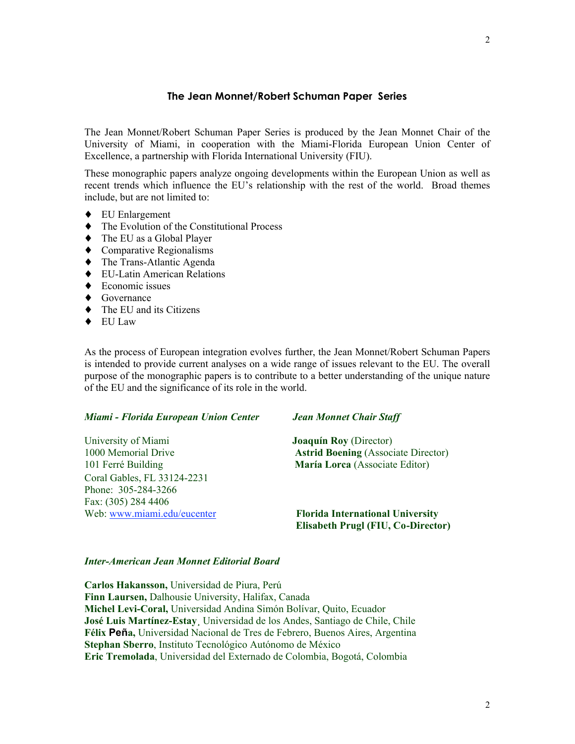## **The Jean Monnet/Robert Schuman Paper Series**

The Jean Monnet/Robert Schuman Paper Series is produced by the Jean Monnet Chair of the University of Miami, in cooperation with the Miami-Florida European Union Center of Excellence, a partnership with Florida International University (FIU).

These monographic papers analyze ongoing developments within the European Union as well as recent trends which influence the EU's relationship with the rest of the world. Broad themes include, but are not limited to:

- ♦ EU Enlargement
- ♦ The Evolution of the Constitutional Process
- ♦ The EU as a Global Player
- ♦ Comparative Regionalisms
- ♦ The Trans-Atlantic Agenda
- ♦ EU-Latin American Relations
- $\triangle$  Economic issues
- ◆ Governance
- ♦ The EU and its Citizens
- ♦ EU Law

As the process of European integration evolves further, the Jean Monnet/Robert Schuman Papers is intended to provide current analyses on a wide range of issues relevant to the EU. The overall purpose of the monographic papers is to contribute to a better understanding of the unique nature of the EU and the significance of its role in the world.

#### *Miami - Florida European Union Center Jean Monnet Chair Staff*

University of Miami **Joaquín Roy** (Director) 1000 Memorial Drive **Astrid Boening** (Associate Director) 101 Ferré Building **María Lorca** (Associate Editor) Coral Gables, FL 33124-2231 Phone: 305-284-3266 Fax: (305) 284 4406 Web: www.miami.edu/eucenter **Florida International University**

 **Elisabeth Prugl (FIU, Co-Director)**

#### *Inter-American Jean Monnet Editorial Board*

**Carlos Hakansson,** Universidad de Piura, Perú **Finn Laursen,** Dalhousie University, Halifax, Canada **Michel Levi-Coral,** Universidad Andina Simón Bolívar, Quito, Ecuador **José Luis Martínez-Estay¸** Universidad de los Andes, Santiago de Chile, Chile **Félix Peña,** Universidad Nacional de Tres de Febrero, Buenos Aires, Argentina **Stephan Sberro**, Instituto Tecnológico Autónomo de México **Eric Tremolada**, Universidad del Externado de Colombia, Bogotá, Colombia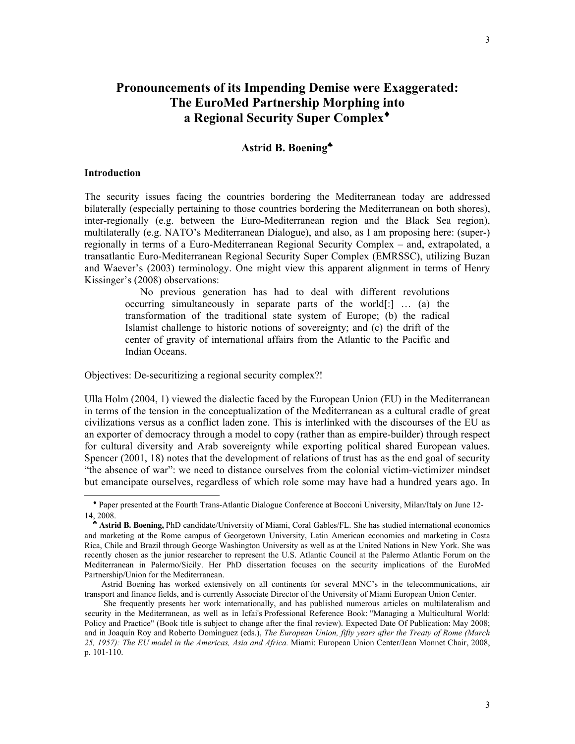# **Pronouncements of its Impending Demise were Exaggerated: The EuroMed Partnership Morphing into a Regional Security Super Complex**♦

# **Astrid B. Boening**♣

#### **Introduction**

 $\overline{a}$ 

The security issues facing the countries bordering the Mediterranean today are addressed bilaterally (especially pertaining to those countries bordering the Mediterranean on both shores), inter-regionally (e.g. between the Euro-Mediterranean region and the Black Sea region), multilaterally (e.g. NATO's Mediterranean Dialogue), and also, as I am proposing here: (super-) regionally in terms of a Euro-Mediterranean Regional Security Complex – and, extrapolated, a transatlantic Euro-Mediterranean Regional Security Super Complex (EMRSSC), utilizing Buzan and Waever's (2003) terminology. One might view this apparent alignment in terms of Henry Kissinger's (2008) observations:

 No previous generation has had to deal with different revolutions occurring simultaneously in separate parts of the world[:] … (a) the transformation of the traditional state system of Europe; (b) the radical Islamist challenge to historic notions of sovereignty; and (c) the drift of the center of gravity of international affairs from the Atlantic to the Pacific and Indian Oceans.

Objectives: De-securitizing a regional security complex?!

Ulla Holm (2004, 1) viewed the dialectic faced by the European Union (EU) in the Mediterranean in terms of the tension in the conceptualization of the Mediterranean as a cultural cradle of great civilizations versus as a conflict laden zone. This is interlinked with the discourses of the EU as an exporter of democracy through a model to copy (rather than as empire-builder) through respect for cultural diversity and Arab sovereignty while exporting political shared European values. Spencer (2001, 18) notes that the development of relations of trust has as the end goal of security "the absence of war": we need to distance ourselves from the colonial victim-victimizer mindset but emancipate ourselves, regardless of which role some may have had a hundred years ago. In

♦ Paper presented at the Fourth Trans-Atlantic Dialogue Conference at Bocconi University, Milan/Italy on June 12- 14, 2008.

♣ **Astrid B. Boening,** PhD candidate/University of Miami, Coral Gables/FL. She has studied international economics and marketing at the Rome campus of Georgetown University, Latin American economics and marketing in Costa Rica, Chile and Brazil through George Washington University as well as at the United Nations in New York. She was recently chosen as the junior researcher to represent the U.S. Atlantic Council at the Palermo Atlantic Forum on the Mediterranean in Palermo/Sicily. Her PhD dissertation focuses on the security implications of the EuroMed Partnership/Union for the Mediterranean.

Astrid Boening has worked extensively on all continents for several MNC's in the telecommunications, air transport and finance fields, and is currently Associate Director of the University of Miami European Union Center.

She frequently presents her work internationally, and has published numerous articles on multilateralism and security in the Mediterranean, as well as in Icfai's Professional Reference Book: "Managing a Multicultural World: Policy and Practice" (Book title is subject to change after the final review). Expected Date Of Publication: May 2008; and in Joaquín Roy and Roberto Domínguez (eds.), *The European Union, fifty years after the Treaty of Rome (March 25, 1957): The EU model in the Americas, Asia and Africa.* Miami: European Union Center/Jean Monnet Chair, 2008, p. 101-110.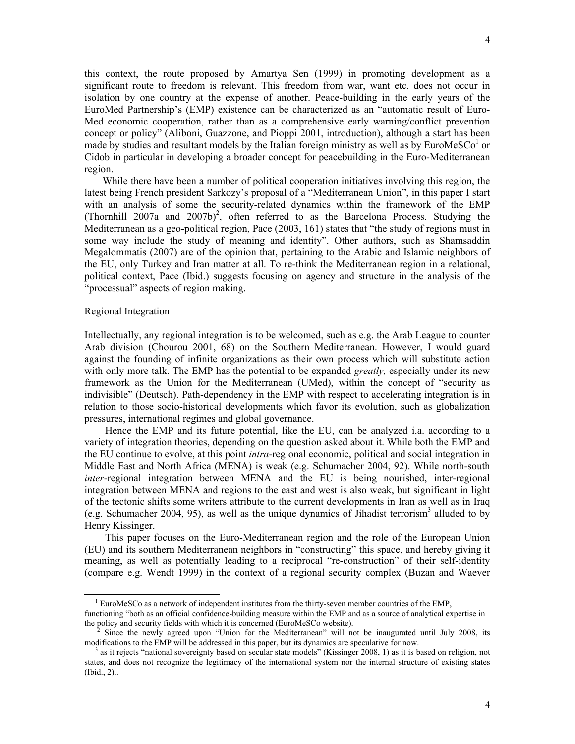this context, the route proposed by Amartya Sen (1999) in promoting development as a significant route to freedom is relevant. This freedom from war, want etc. does not occur in isolation by one country at the expense of another. Peace-building in the early years of the EuroMed Partnership's (EMP) existence can be characterized as an "automatic result of Euro-Med economic cooperation, rather than as a comprehensive early warning/conflict prevention concept or policy" (Aliboni, Guazzone, and Pioppi 2001, introduction), although a start has been made by studies and resultant models by the Italian foreign ministry as well as by EuroMeSCo<sup>1</sup> or Cidob in particular in developing a broader concept for peacebuilding in the Euro-Mediterranean region.

 While there have been a number of political cooperation initiatives involving this region, the latest being French president Sarkozy's proposal of a "Mediterranean Union", in this paper I start with an analysis of some the security-related dynamics within the framework of the EMP (Thornhill  $2007a$  and  $2007b$ <sup>2</sup>, often referred to as the Barcelona Process. Studying the Mediterranean as a geo-political region, Pace (2003, 161) states that "the study of regions must in some way include the study of meaning and identity". Other authors, such as Shamsaddin Megalommatis (2007) are of the opinion that, pertaining to the Arabic and Islamic neighbors of the EU, only Turkey and Iran matter at all. To re-think the Mediterranean region in a relational, political context, Pace (Ibid.) suggests focusing on agency and structure in the analysis of the "processual" aspects of region making.

#### Regional Integration

 $\overline{a}$ 

Intellectually, any regional integration is to be welcomed, such as e.g. the Arab League to counter Arab division (Chourou 2001, 68) on the Southern Mediterranean. However, I would guard against the founding of infinite organizations as their own process which will substitute action with only more talk. The EMP has the potential to be expanded *greatly,* especially under its new framework as the Union for the Mediterranean (UMed), within the concept of "security as indivisible" (Deutsch). Path-dependency in the EMP with respect to accelerating integration is in relation to those socio-historical developments which favor its evolution, such as globalization pressures, international regimes and global governance.

 Hence the EMP and its future potential, like the EU, can be analyzed i.a. according to a variety of integration theories, depending on the question asked about it. While both the EMP and the EU continue to evolve, at this point *intra*-regional economic, political and social integration in Middle East and North Africa (MENA) is weak (e.g. Schumacher 2004, 92). While north-south *inter*-regional integration between MENA and the EU is being nourished, inter-regional integration between MENA and regions to the east and west is also weak, but significant in light of the tectonic shifts some writers attribute to the current developments in Iran as well as in Iraq (e.g. Schumacher 2004, 95), as well as the unique dynamics of Jihadist terrorism<sup>3</sup> alluded to by Henry Kissinger.

 This paper focuses on the Euro-Mediterranean region and the role of the European Union (EU) and its southern Mediterranean neighbors in "constructing" this space, and hereby giving it meaning, as well as potentially leading to a reciprocal "re-construction" of their self-identity (compare e.g. Wendt 1999) in the context of a regional security complex (Buzan and Waever

<sup>&</sup>lt;sup>1</sup> EuroMeSCo as a network of independent institutes from the thirty-seven member countries of the EMP,

functioning "both as an official confidence-building measure within the EMP and as a source of analytical expertise in the policy and security fields with which it is concerned (EuroMeSCo website).

<sup>2</sup> Since the newly agreed upon "Union for the Mediterranean" will not be inaugurated until July 2008, its modifications to the EMP will be addressed in this paper, but its dynamics are speculative for now.

<sup>&</sup>lt;sup>3</sup> as it rejects "national sovereignty based on secular state models" (Kissinger 2008, 1) as it is based on religion, not states, and does not recognize the legitimacy of the international system nor the internal structure of existing states (Ibid., 2)..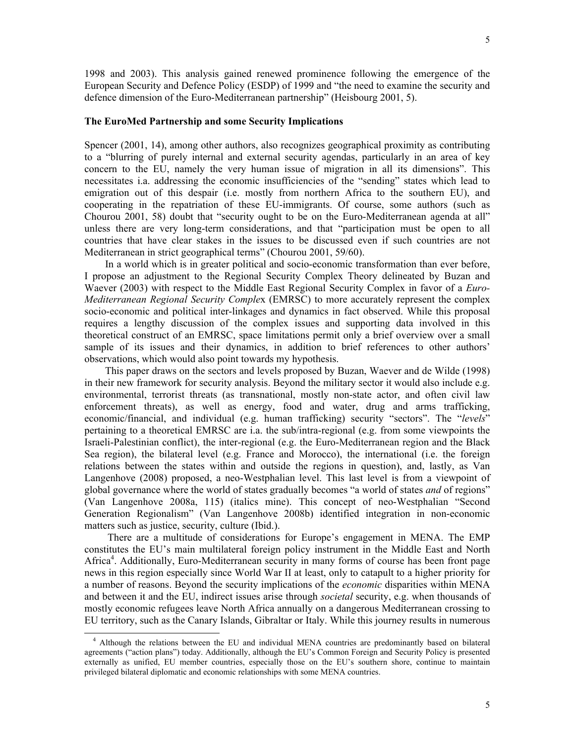1998 and 2003). This analysis gained renewed prominence following the emergence of the European Security and Defence Policy (ESDP) of 1999 and "the need to examine the security and defence dimension of the Euro-Mediterranean partnership" (Heisbourg 2001, 5).

#### **The EuroMed Partnership and some Security Implications**

Spencer (2001, 14), among other authors, also recognizes geographical proximity as contributing to a "blurring of purely internal and external security agendas, particularly in an area of key concern to the EU, namely the very human issue of migration in all its dimensions". This necessitates i.a. addressing the economic insufficiencies of the "sending" states which lead to emigration out of this despair (i.e. mostly from northern Africa to the southern EU), and cooperating in the repatriation of these EU-immigrants. Of course, some authors (such as Chourou 2001, 58) doubt that "security ought to be on the Euro-Mediterranean agenda at all" unless there are very long-term considerations, and that "participation must be open to all countries that have clear stakes in the issues to be discussed even if such countries are not Mediterranean in strict geographical terms" (Chourou 2001, 59/60).

 In a world which is in greater political and socio-economic transformation than ever before, I propose an adjustment to the Regional Security Complex Theory delineated by Buzan and Waever (2003) with respect to the Middle East Regional Security Complex in favor of a *Euro-Mediterranean Regional Security Comple*x (EMRSC) to more accurately represent the complex socio-economic and political inter-linkages and dynamics in fact observed. While this proposal requires a lengthy discussion of the complex issues and supporting data involved in this theoretical construct of an EMRSC, space limitations permit only a brief overview over a small sample of its issues and their dynamics, in addition to brief references to other authors' observations, which would also point towards my hypothesis.

 This paper draws on the sectors and levels proposed by Buzan, Waever and de Wilde (1998) in their new framework for security analysis. Beyond the military sector it would also include e.g. environmental, terrorist threats (as transnational, mostly non-state actor, and often civil law enforcement threats), as well as energy, food and water, drug and arms trafficking, economic/financial, and individual (e.g. human trafficking) security "sectors". The "*levels*" pertaining to a theoretical EMRSC are i.a. the sub/intra-regional (e.g. from some viewpoints the Israeli-Palestinian conflict), the inter-regional (e.g. the Euro-Mediterranean region and the Black Sea region), the bilateral level (e.g. France and Morocco), the international (i.e. the foreign relations between the states within and outside the regions in question), and, lastly, as Van Langenhove (2008) proposed, a neo-Westphalian level. This last level is from a viewpoint of global governance where the world of states gradually becomes "a world of states *and* of regions" (Van Langenhove 2008a, 115) (italics mine). This concept of neo-Westphalian "Second Generation Regionalism" (Van Langenhove 2008b) identified integration in non-economic matters such as justice, security, culture (Ibid.).

 There are a multitude of considerations for Europe's engagement in MENA. The EMP constitutes the EU's main multilateral foreign policy instrument in the Middle East and North Africa<sup>4</sup>. Additionally, Euro-Mediterranean security in many forms of course has been front page news in this region especially since World War II at least, only to catapult to a higher priority for a number of reasons. Beyond the security implications of the *economic* disparities within MENA and between it and the EU, indirect issues arise through *societal* security, e.g. when thousands of mostly economic refugees leave North Africa annually on a dangerous Mediterranean crossing to EU territory, such as the Canary Islands, Gibraltar or Italy. While this journey results in numerous

 $\overline{a}$ 

<sup>&</sup>lt;sup>4</sup> Although the relations between the EU and individual MENA countries are predominantly based on bilateral agreements ("action plans") today. Additionally, although the EU's Common Foreign and Security Policy is presented externally as unified, EU member countries, especially those on the EU's southern shore, continue to maintain privileged bilateral diplomatic and economic relationships with some MENA countries.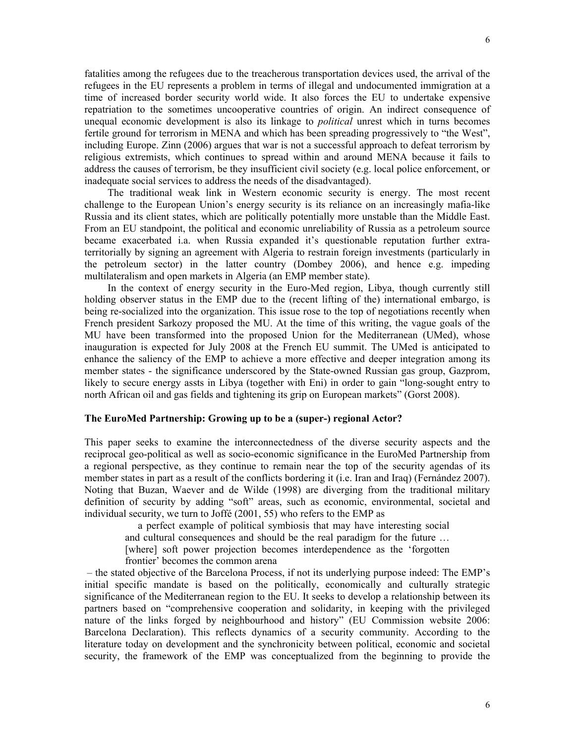fatalities among the refugees due to the treacherous transportation devices used, the arrival of the refugees in the EU represents a problem in terms of illegal and undocumented immigration at a time of increased border security world wide. It also forces the EU to undertake expensive repatriation to the sometimes uncooperative countries of origin. An indirect consequence of unequal economic development is also its linkage to *political* unrest which in turns becomes fertile ground for terrorism in MENA and which has been spreading progressively to "the West", including Europe. Zinn (2006) argues that war is not a successful approach to defeat terrorism by religious extremists, which continues to spread within and around MENA because it fails to address the causes of terrorism, be they insufficient civil society (e.g. local police enforcement, or inadequate social services to address the needs of the disadvantaged).

 The traditional weak link in Western economic security is energy. The most recent challenge to the European Union's energy security is its reliance on an increasingly mafia-like Russia and its client states, which are politically potentially more unstable than the Middle East. From an EU standpoint, the political and economic unreliability of Russia as a petroleum source became exacerbated i.a. when Russia expanded it's questionable reputation further extraterritorially by signing an agreement with Algeria to restrain foreign investments (particularly in the petroleum sector) in the latter country (Dombey 2006), and hence e.g. impeding multilateralism and open markets in Algeria (an EMP member state).

 In the context of energy security in the Euro-Med region, Libya, though currently still holding observer status in the EMP due to the (recent lifting of the) international embargo, is being re-socialized into the organization. This issue rose to the top of negotiations recently when French president Sarkozy proposed the MU. At the time of this writing, the vague goals of the MU have been transformed into the proposed Union for the Mediterranean (UMed), whose inauguration is expected for July 2008 at the French EU summit. The UMed is anticipated to enhance the saliency of the EMP to achieve a more effective and deeper integration among its member states - the significance underscored by the State-owned Russian gas group, Gazprom, likely to secure energy assts in Libya (together with Eni) in order to gain "long-sought entry to north African oil and gas fields and tightening its grip on European markets" (Gorst 2008).

# **The EuroMed Partnership: Growing up to be a (super-) regional Actor?**

This paper seeks to examine the interconnectedness of the diverse security aspects and the reciprocal geo-political as well as socio-economic significance in the EuroMed Partnership from a regional perspective, as they continue to remain near the top of the security agendas of its member states in part as a result of the conflicts bordering it (i.e. Iran and Iraq) (Fernández 2007). Noting that Buzan, Waever and de Wilde (1998) are diverging from the traditional military definition of security by adding "soft" areas, such as economic, environmental, societal and individual security, we turn to Joffé (2001, 55) who refers to the EMP as

 a perfect example of political symbiosis that may have interesting social and cultural consequences and should be the real paradigm for the future … [where] soft power projection becomes interdependence as the 'forgotten frontier' becomes the common arena

– the stated objective of the Barcelona Process, if not its underlying purpose indeed: The EMP's initial specific mandate is based on the politically, economically and culturally strategic significance of the Mediterranean region to the EU. It seeks to develop a relationship between its partners based on "comprehensive cooperation and solidarity, in keeping with the privileged nature of the links forged by neighbourhood and history" (EU Commission website 2006: Barcelona Declaration). This reflects dynamics of a security community. According to the literature today on development and the synchronicity between political, economic and societal security, the framework of the EMP was conceptualized from the beginning to provide the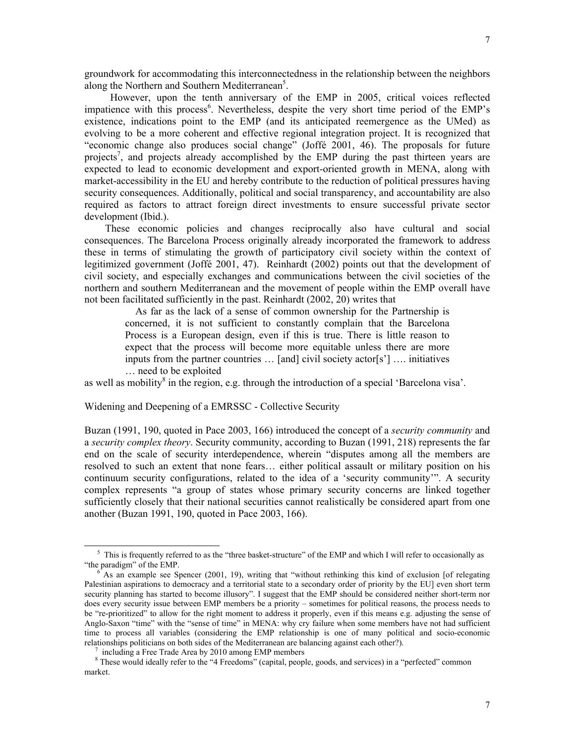groundwork for accommodating this interconnectedness in the relationship between the neighbors along the Northern and Southern Mediterranean<sup>5</sup>.

 However, upon the tenth anniversary of the EMP in 2005, critical voices reflected impatience with this process<sup>6</sup>. Nevertheless, despite the very short time period of the EMP's existence, indications point to the EMP (and its anticipated reemergence as the UMed) as evolving to be a more coherent and effective regional integration project. It is recognized that "economic change also produces social change" (Joffé 2001, 46). The proposals for future projects<sup>7</sup>, and projects already accomplished by the EMP during the past thirteen years are expected to lead to economic development and export-oriented growth in MENA, along with market-accessibility in the EU and hereby contribute to the reduction of political pressures having security consequences. Additionally, political and social transparency, and accountability are also required as factors to attract foreign direct investments to ensure successful private sector development (Ibid.).

 These economic policies and changes reciprocally also have cultural and social consequences. The Barcelona Process originally already incorporated the framework to address these in terms of stimulating the growth of participatory civil society within the context of legitimized government (Joffé 2001, 47). Reinhardt (2002) points out that the development of civil society, and especially exchanges and communications between the civil societies of the northern and southern Mediterranean and the movement of people within the EMP overall have not been facilitated sufficiently in the past. Reinhardt (2002, 20) writes that

 As far as the lack of a sense of common ownership for the Partnership is concerned, it is not sufficient to constantly complain that the Barcelona Process is a European design, even if this is true. There is little reason to expect that the process will become more equitable unless there are more inputs from the partner countries … [and] civil society actor[s'] …. initiatives … need to be exploited

as well as mobility<sup>8</sup> in the region, e.g. through the introduction of a special 'Barcelona visa'.

Widening and Deepening of a EMRSSC - Collective Security

Buzan (1991, 190, quoted in Pace 2003, 166) introduced the concept of a *security community* and a *security complex theory*. Security community, according to Buzan (1991, 218) represents the far end on the scale of security interdependence, wherein "disputes among all the members are resolved to such an extent that none fears… either political assault or military position on his continuum security configurations, related to the idea of a 'security community'". A security complex represents "a group of states whose primary security concerns are linked together sufficiently closely that their national securities cannot realistically be considered apart from one another (Buzan 1991, 190, quoted in Pace 2003, 166).

 $\overline{a}$ 

<sup>&</sup>lt;sup>5</sup> This is frequently referred to as the "three basket-structure" of the EMP and which I will refer to occasionally as "the paradigm" of the EMP.

<sup>6</sup> As an example see Spencer (2001, 19), writing that "without rethinking this kind of exclusion [of relegating Palestinian aspirations to democracy and a territorial state to a secondary order of priority by the EU] even short term security planning has started to become illusory". I suggest that the EMP should be considered neither short-term nor does every security issue between EMP members be a priority – sometimes for political reasons, the process needs to be "re-prioritized" to allow for the right moment to address it properly, even if this means e.g. adjusting the sense of Anglo-Saxon "time" with the "sense of time" in MENA: why cry failure when some members have not had sufficient time to process all variables (considering the EMP relationship is one of many political and socio-economic relationships politicians on both sides of the Mediterranean are balancing against each other?).

<sup>&</sup>lt;sup>7</sup> including a Free Trade Area by 2010 among EMP members

<sup>&</sup>lt;sup>8</sup> These would ideally refer to the "4 Freedoms" (capital, people, goods, and services) in a "perfected" common market.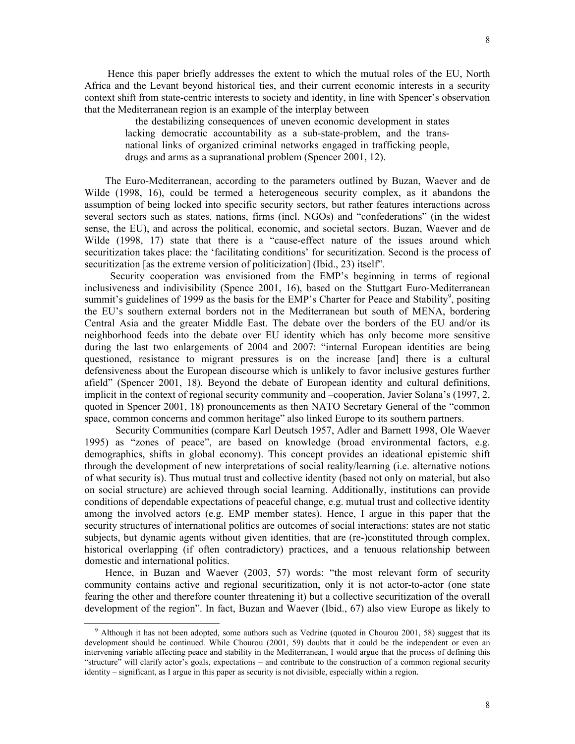Hence this paper briefly addresses the extent to which the mutual roles of the EU, North Africa and the Levant beyond historical ties, and their current economic interests in a security context shift from state-centric interests to society and identity, in line with Spencer's observation that the Mediterranean region is an example of the interplay between

 the destabilizing consequences of uneven economic development in states lacking democratic accountability as a sub-state-problem, and the transnational links of organized criminal networks engaged in trafficking people, drugs and arms as a supranational problem (Spencer 2001, 12).

 The Euro-Mediterranean, according to the parameters outlined by Buzan, Waever and de Wilde (1998, 16), could be termed a heterogeneous security complex, as it abandons the assumption of being locked into specific security sectors, but rather features interactions across several sectors such as states, nations, firms (incl. NGOs) and "confederations" (in the widest sense, the EU), and across the political, economic, and societal sectors. Buzan, Waever and de Wilde (1998, 17) state that there is a "cause-effect nature of the issues around which securitization takes place: the 'facilitating conditions' for securitization. Second is the process of securitization [as the extreme version of politicization] (Ibid., 23) itself".

 Security cooperation was envisioned from the EMP's beginning in terms of regional inclusiveness and indivisibility (Spence 2001, 16), based on the Stuttgart Euro-Mediterranean summit's guidelines of 1999 as the basis for the EMP's Charter for Peace and Stability<sup>9</sup>, positing the EU's southern external borders not in the Mediterranean but south of MENA, bordering Central Asia and the greater Middle East. The debate over the borders of the EU and/or its neighborhood feeds into the debate over EU identity which has only become more sensitive during the last two enlargements of 2004 and 2007: "internal European identities are being questioned, resistance to migrant pressures is on the increase [and] there is a cultural defensiveness about the European discourse which is unlikely to favor inclusive gestures further afield" (Spencer 2001, 18). Beyond the debate of European identity and cultural definitions, implicit in the context of regional security community and –cooperation, Javier Solana's (1997, 2, quoted in Spencer 2001, 18) pronouncements as then NATO Secretary General of the "common space, common concerns and common heritage" also linked Europe to its southern partners.

 Security Communities (compare Karl Deutsch 1957, Adler and Barnett 1998, Ole Waever 1995) as "zones of peace", are based on knowledge (broad environmental factors, e.g. demographics, shifts in global economy). This concept provides an ideational epistemic shift through the development of new interpretations of social reality/learning (i.e. alternative notions of what security is). Thus mutual trust and collective identity (based not only on material, but also on social structure) are achieved through social learning. Additionally, institutions can provide conditions of dependable expectations of peaceful change, e.g. mutual trust and collective identity among the involved actors (e.g. EMP member states). Hence, I argue in this paper that the security structures of international politics are outcomes of social interactions: states are not static subjects, but dynamic agents without given identities, that are (re-)constituted through complex, historical overlapping (if often contradictory) practices, and a tenuous relationship between domestic and international politics.

 Hence, in Buzan and Waever (2003, 57) words: "the most relevant form of security community contains active and regional securitization, only it is not actor-to-actor (one state fearing the other and therefore counter threatening it) but a collective securitization of the overall development of the region". In fact, Buzan and Waever (Ibid., 67) also view Europe as likely to

 $\overline{\phantom{a}}$ 

<sup>&</sup>lt;sup>9</sup> Although it has not been adopted, some authors such as Vedrine (quoted in Chourou 2001, 58) suggest that its development should be continued. While Chourou (2001, 59) doubts that it could be the independent or even an intervening variable affecting peace and stability in the Mediterranean, I would argue that the process of defining this "structure" will clarify actor's goals, expectations – and contribute to the construction of a common regional security identity – significant, as I argue in this paper as security is not divisible, especially within a region.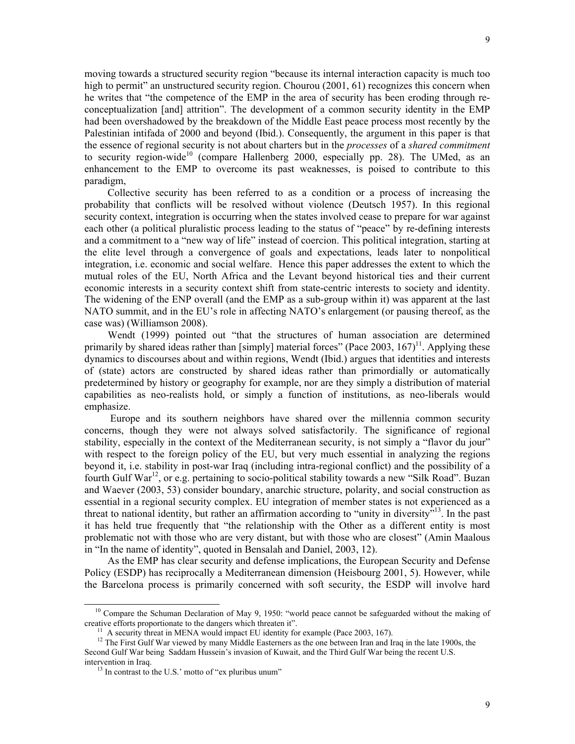moving towards a structured security region "because its internal interaction capacity is much too high to permit" an unstructured security region. Chourou (2001, 61) recognizes this concern when he writes that "the competence of the EMP in the area of security has been eroding through reconceptualization [and] attrition". The development of a common security identity in the EMP had been overshadowed by the breakdown of the Middle East peace process most recently by the Palestinian intifada of 2000 and beyond (Ibid.). Consequently, the argument in this paper is that the essence of regional security is not about charters but in the *processes* of a *shared commitment* to security region-wide<sup>10</sup> (compare Hallenberg 2000, especially pp. 28). The UMed, as an enhancement to the EMP to overcome its past weaknesses, is poised to contribute to this paradigm,

 Collective security has been referred to as a condition or a process of increasing the probability that conflicts will be resolved without violence (Deutsch 1957). In this regional security context, integration is occurring when the states involved cease to prepare for war against each other (a political pluralistic process leading to the status of "peace" by re-defining interests and a commitment to a "new way of life" instead of coercion. This political integration, starting at the elite level through a convergence of goals and expectations, leads later to nonpolitical integration, i.e. economic and social welfare. Hence this paper addresses the extent to which the mutual roles of the EU, North Africa and the Levant beyond historical ties and their current economic interests in a security context shift from state-centric interests to society and identity. The widening of the ENP overall (and the EMP as a sub-group within it) was apparent at the last NATO summit, and in the EU's role in affecting NATO's enlargement (or pausing thereof, as the case was) (Williamson 2008).

 Wendt (1999) pointed out "that the structures of human association are determined primarily by shared ideas rather than [simply] material forces" (Pace 2003,  $167$ )<sup>11</sup>. Applying these dynamics to discourses about and within regions, Wendt (Ibid.) argues that identities and interests of (state) actors are constructed by shared ideas rather than primordially or automatically predetermined by history or geography for example, nor are they simply a distribution of material capabilities as neo-realists hold, or simply a function of institutions, as neo-liberals would emphasize.

 Europe and its southern neighbors have shared over the millennia common security concerns, though they were not always solved satisfactorily. The significance of regional stability, especially in the context of the Mediterranean security, is not simply a "flavor du jour" with respect to the foreign policy of the EU, but very much essential in analyzing the regions beyond it, i.e. stability in post-war Iraq (including intra-regional conflict) and the possibility of a fourth Gulf War<sup>12</sup>, or e.g. pertaining to socio-political stability towards a new "Silk Road". Buzan and Waever (2003, 53) consider boundary, anarchic structure, polarity, and social construction as essential in a regional security complex. EU integration of member states is not experienced as a threat to national identity, but rather an affirmation according to "unity in diversity"<sup>13</sup>. In the past it has held true frequently that "the relationship with the Other as a different entity is most problematic not with those who are very distant, but with those who are closest" (Amin Maalous in "In the name of identity", quoted in Bensalah and Daniel, 2003, 12).

 As the EMP has clear security and defense implications, the European Security and Defense Policy (ESDP) has reciprocally a Mediterranean dimension (Heisbourg 2001, 5). However, while the Barcelona process is primarily concerned with soft security, the ESDP will involve hard

 $\overline{\phantom{a}}$ 

<sup>&</sup>lt;sup>10</sup> Compare the Schuman Declaration of May 9, 1950: "world peace cannot be safeguarded without the making of creative efforts proportionate to the dangers which threaten it".

 $11$  A security threat in MENA would impact EU identity for example (Pace 2003, 167).

<sup>&</sup>lt;sup>12</sup> The First Gulf War viewed by many Middle Easterners as the one between Iran and Iraq in the late 1900s, the Second Gulf War being Saddam Hussein's invasion of Kuwait, and the Third Gulf War being the recent U.S. intervention in Iraq.

 $13$  In contrast to the U.S.' motto of "ex pluribus unum"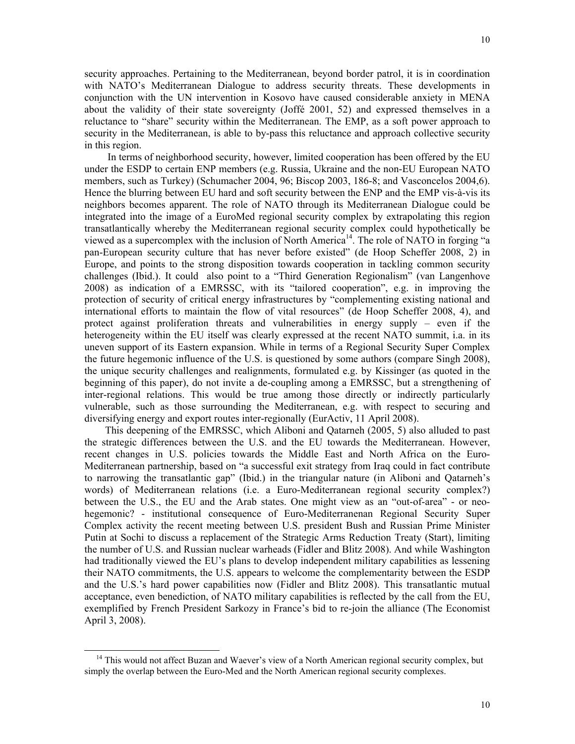security approaches. Pertaining to the Mediterranean, beyond border patrol, it is in coordination with NATO's Mediterranean Dialogue to address security threats. These developments in conjunction with the UN intervention in Kosovo have caused considerable anxiety in MENA about the validity of their state sovereignty (Joffé 2001, 52) and expressed themselves in a reluctance to "share" security within the Mediterranean. The EMP, as a soft power approach to security in the Mediterranean, is able to by-pass this reluctance and approach collective security in this region.

 In terms of neighborhood security, however, limited cooperation has been offered by the EU under the ESDP to certain ENP members (e.g. Russia, Ukraine and the non-EU European NATO members, such as Turkey) (Schumacher 2004, 96; Biscop 2003, 186-8; and Vasconcelos 2004,6). Hence the blurring between EU hard and soft security between the ENP and the EMP vis-à-vis its neighbors becomes apparent. The role of NATO through its Mediterranean Dialogue could be integrated into the image of a EuroMed regional security complex by extrapolating this region transatlantically whereby the Mediterranean regional security complex could hypothetically be viewed as a supercomplex with the inclusion of North America<sup>14</sup>. The role of NATO in forging "a pan-European security culture that has never before existed" (de Hoop Scheffer 2008, 2) in Europe, and points to the strong disposition towards cooperation in tackling common security challenges (Ibid.). It could also point to a "Third Generation Regionalism" (van Langenhove 2008) as indication of a EMRSSC, with its "tailored cooperation", e.g. in improving the protection of security of critical energy infrastructures by "complementing existing national and international efforts to maintain the flow of vital resources" (de Hoop Scheffer 2008, 4), and protect against proliferation threats and vulnerabilities in energy supply – even if the heterogeneity within the EU itself was clearly expressed at the recent NATO summit, i.a. in its uneven support of its Eastern expansion. While in terms of a Regional Security Super Complex the future hegemonic influence of the U.S. is questioned by some authors (compare Singh 2008), the unique security challenges and realignments, formulated e.g. by Kissinger (as quoted in the beginning of this paper), do not invite a de-coupling among a EMRSSC, but a strengthening of inter-regional relations. This would be true among those directly or indirectly particularly vulnerable, such as those surrounding the Mediterranean, e.g. with respect to securing and diversifying energy and export routes inter-regionally (EurActiv, 11 April 2008).

 This deepening of the EMRSSC, which Aliboni and Qatarneh (2005, 5) also alluded to past the strategic differences between the U.S. and the EU towards the Mediterranean. However, recent changes in U.S. policies towards the Middle East and North Africa on the Euro-Mediterranean partnership, based on "a successful exit strategy from Iraq could in fact contribute to narrowing the transatlantic gap" (Ibid.) in the triangular nature (in Aliboni and Qatarneh's words) of Mediterranean relations (i.e. a Euro-Mediterranean regional security complex?) between the U.S., the EU and the Arab states. One might view as an "out-of-area" - or neohegemonic? - institutional consequence of Euro-Mediterranenan Regional Security Super Complex activity the recent meeting between U.S. president Bush and Russian Prime Minister Putin at Sochi to discuss a replacement of the Strategic Arms Reduction Treaty (Start), limiting the number of U.S. and Russian nuclear warheads (Fidler and Blitz 2008). And while Washington had traditionally viewed the EU's plans to develop independent military capabilities as lessening their NATO commitments, the U.S. appears to welcome the complementarity between the ESDP and the U.S.'s hard power capabilities now (Fidler and Blitz 2008). This transatlantic mutual acceptance, even benediction, of NATO military capabilities is reflected by the call from the EU, exemplified by French President Sarkozy in France's bid to re-join the alliance (The Economist April 3, 2008).

 $\overline{\phantom{a}}$ 

<sup>&</sup>lt;sup>14</sup> This would not affect Buzan and Waever's view of a North American regional security complex, but simply the overlap between the Euro-Med and the North American regional security complexes.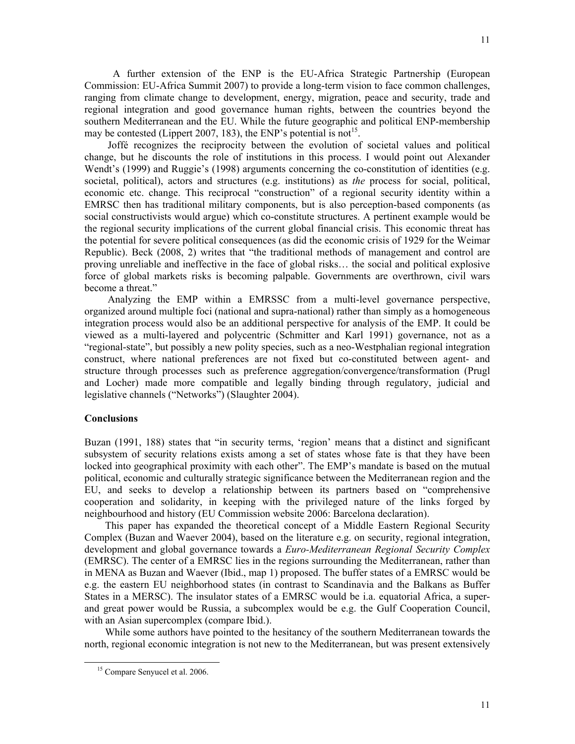A further extension of the ENP is the EU-Africa Strategic Partnership (European Commission: EU-Africa Summit 2007) to provide a long-term vision to face common challenges, ranging from climate change to development, energy, migration, peace and security, trade and regional integration and good governance human rights, between the countries beyond the southern Mediterranean and the EU. While the future geographic and political ENP-membership may be contested (Lippert 2007, 183), the ENP's potential is not<sup>15</sup>.

 Joffé recognizes the reciprocity between the evolution of societal values and political change, but he discounts the role of institutions in this process. I would point out Alexander Wendt's (1999) and Ruggie's (1998) arguments concerning the co-constitution of identities (e.g. societal, political), actors and structures (e.g. institutions) as *the* process for social, political, economic etc. change. This reciprocal "construction" of a regional security identity within a EMRSC then has traditional military components, but is also perception-based components (as social constructivists would argue) which co-constitute structures. A pertinent example would be the regional security implications of the current global financial crisis. This economic threat has the potential for severe political consequences (as did the economic crisis of 1929 for the Weimar Republic). Beck (2008, 2) writes that "the traditional methods of management and control are proving unreliable and ineffective in the face of global risks… the social and political explosive force of global markets risks is becoming palpable. Governments are overthrown, civil wars become a threat."

 Analyzing the EMP within a EMRSSC from a multi-level governance perspective, organized around multiple foci (national and supra-national) rather than simply as a homogeneous integration process would also be an additional perspective for analysis of the EMP. It could be viewed as a multi-layered and polycentric (Schmitter and Karl 1991) governance, not as a "regional-state", but possibly a new polity species, such as a neo-Westphalian regional integration construct, where national preferences are not fixed but co-constituted between agent- and structure through processes such as preference aggregation/convergence/transformation (Prugl and Locher) made more compatible and legally binding through regulatory, judicial and legislative channels ("Networks") (Slaughter 2004).

#### **Conclusions**

Buzan (1991, 188) states that "in security terms, 'region' means that a distinct and significant subsystem of security relations exists among a set of states whose fate is that they have been locked into geographical proximity with each other". The EMP's mandate is based on the mutual political, economic and culturally strategic significance between the Mediterranean region and the EU, and seeks to develop a relationship between its partners based on "comprehensive cooperation and solidarity, in keeping with the privileged nature of the links forged by neighbourhood and history (EU Commission website 2006: Barcelona declaration).

 This paper has expanded the theoretical concept of a Middle Eastern Regional Security Complex (Buzan and Waever 2004), based on the literature e.g. on security, regional integration, development and global governance towards a *Euro-Mediterranean Regional Security Complex* (EMRSC). The center of a EMRSC lies in the regions surrounding the Mediterranean, rather than in MENA as Buzan and Waever (Ibid., map 1) proposed. The buffer states of a EMRSC would be e.g. the eastern EU neighborhood states (in contrast to Scandinavia and the Balkans as Buffer States in a MERSC). The insulator states of a EMRSC would be i.a. equatorial Africa, a superand great power would be Russia, a subcomplex would be e.g. the Gulf Cooperation Council, with an Asian supercomplex (compare Ibid.).

 While some authors have pointed to the hesitancy of the southern Mediterranean towards the north, regional economic integration is not new to the Mediterranean, but was present extensively

 $\overline{a}$ 

15 Compare Senyucel et al. 2006.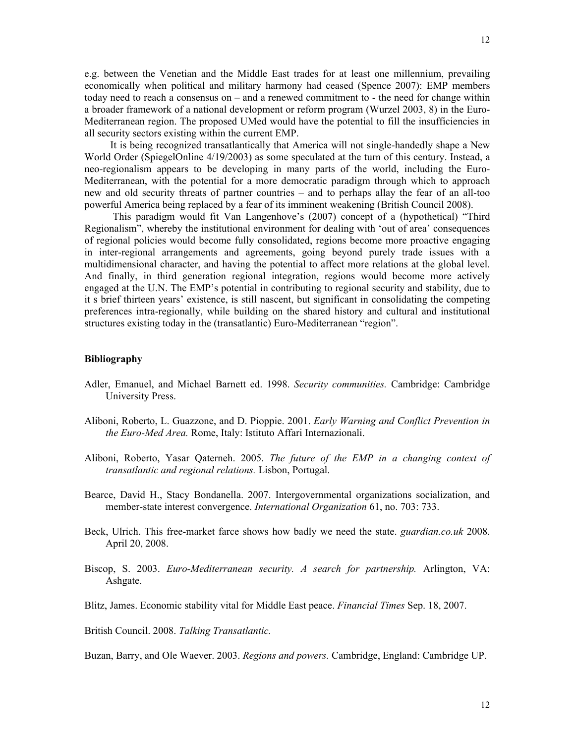e.g. between the Venetian and the Middle East trades for at least one millennium, prevailing economically when political and military harmony had ceased (Spence 2007): EMP members today need to reach a consensus on – and a renewed commitment to - the need for change within a broader framework of a national development or reform program (Wurzel 2003, 8) in the Euro-Mediterranean region. The proposed UMed would have the potential to fill the insufficiencies in all security sectors existing within the current EMP.

 It is being recognized transatlantically that America will not single-handedly shape a New World Order (SpiegelOnline 4/19/2003) as some speculated at the turn of this century. Instead, a neo-regionalism appears to be developing in many parts of the world, including the Euro-Mediterranean, with the potential for a more democratic paradigm through which to approach new and old security threats of partner countries – and to perhaps allay the fear of an all-too powerful America being replaced by a fear of its imminent weakening (British Council 2008).

 This paradigm would fit Van Langenhove's (2007) concept of a (hypothetical) "Third Regionalism", whereby the institutional environment for dealing with 'out of area' consequences of regional policies would become fully consolidated, regions become more proactive engaging in inter-regional arrangements and agreements, going beyond purely trade issues with a multidimensional character, and having the potential to affect more relations at the global level. And finally, in third generation regional integration, regions would become more actively engaged at the U.N. The EMP's potential in contributing to regional security and stability, due to it s brief thirteen years' existence, is still nascent, but significant in consolidating the competing preferences intra-regionally, while building on the shared history and cultural and institutional structures existing today in the (transatlantic) Euro-Mediterranean "region".

### **Bibliography**

- Adler, Emanuel, and Michael Barnett ed. 1998. *Security communities.* Cambridge: Cambridge University Press.
- Aliboni, Roberto, L. Guazzone, and D. Pioppie. 2001. *Early Warning and Conflict Prevention in the Euro-Med Area.* Rome, Italy: Istituto Affari Internazionali.
- Aliboni, Roberto, Yasar Qaterneh. 2005. *The future of the EMP in a changing context of transatlantic and regional relations.* Lisbon, Portugal.
- Bearce, David H., Stacy Bondanella. 2007. Intergovernmental organizations socialization, and member-state interest convergence. *International Organization* 61, no. 703: 733.
- Beck, Ulrich. This free-market farce shows how badly we need the state. *guardian.co.uk* 2008. April 20, 2008.
- Biscop, S. 2003. *Euro-Mediterranean security. A search for partnership.* Arlington, VA: Ashgate.
- Blitz, James. Economic stability vital for Middle East peace. *Financial Times* Sep. 18, 2007.

British Council. 2008. *Talking Transatlantic.* 

Buzan, Barry, and Ole Waever. 2003. *Regions and powers.* Cambridge, England: Cambridge UP.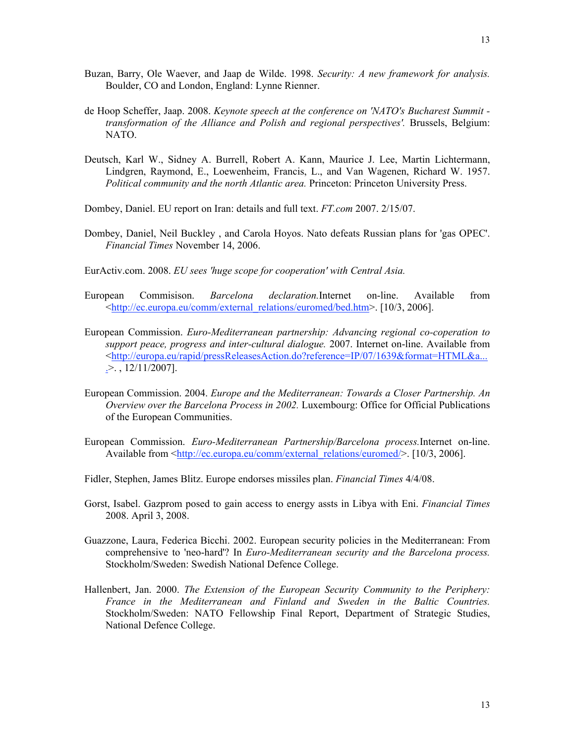- Buzan, Barry, Ole Waever, and Jaap de Wilde. 1998. *Security: A new framework for analysis.*  Boulder, CO and London, England: Lynne Rienner.
- de Hoop Scheffer, Jaap. 2008. *Keynote speech at the conference on 'NATO's Bucharest Summit transformation of the Alliance and Polish and regional perspectives'.* Brussels, Belgium: NATO.
- Deutsch, Karl W., Sidney A. Burrell, Robert A. Kann, Maurice J. Lee, Martin Lichtermann, Lindgren, Raymond, E., Loewenheim, Francis, L., and Van Wagenen, Richard W. 1957. *Political community and the north Atlantic area.* Princeton: Princeton University Press.
- Dombey, Daniel. EU report on Iran: details and full text. *FT.com* 2007. 2/15/07.
- Dombey, Daniel, Neil Buckley , and Carola Hoyos. Nato defeats Russian plans for 'gas OPEC'. *Financial Times* November 14, 2006.
- EurActiv.com. 2008. *EU sees 'huge scope for cooperation' with Central Asia.*
- European Commisison. *Barcelona declaration.*Internet on-line. Available from <http://ec.europa.eu/comm/external\_relations/euromed/bed.htm>. [10/3, 2006].
- European Commission. *Euro-Mediterranean partnership: Advancing regional co-coperation to support peace, progress and inter-cultural dialogue.* 2007. Internet on-line. Available from <http://europa.eu/rapid/pressReleasesAction.do?reference=IP/07/1639&format=HTML&a...  $\geq$ ., 12/11/2007].
- European Commission. 2004. *Europe and the Mediterranean: Towards a Closer Partnership. An Overview over the Barcelona Process in 2002.* Luxembourg: Office for Official Publications of the European Communities.
- European Commission. *Euro-Mediterranean Partnership/Barcelona process.*Internet on-line. Available from <http://ec.europa.eu/comm/external\_relations/euromed/>. [10/3, 2006].
- Fidler, Stephen, James Blitz. Europe endorses missiles plan. *Financial Times* 4/4/08.
- Gorst, Isabel. Gazprom posed to gain access to energy assts in Libya with Eni. *Financial Times*  2008. April 3, 2008.
- Guazzone, Laura, Federica Bicchi. 2002. European security policies in the Mediterranean: From comprehensive to 'neo-hard'? In *Euro-Mediterranean security and the Barcelona process.* Stockholm/Sweden: Swedish National Defence College.
- Hallenbert, Jan. 2000. *The Extension of the European Security Community to the Periphery: France in the Mediterranean and Finland and Sweden in the Baltic Countries.*  Stockholm/Sweden: NATO Fellowship Final Report, Department of Strategic Studies, National Defence College.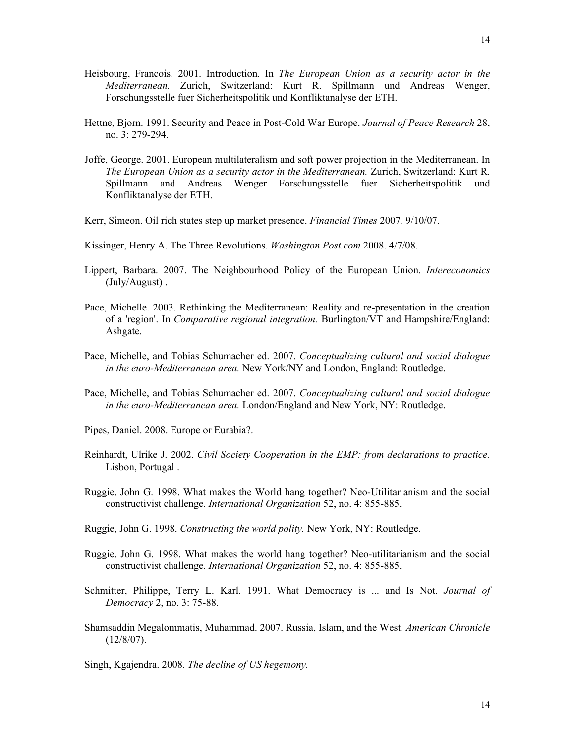- Heisbourg, Francois. 2001. Introduction. In *The European Union as a security actor in the Mediterranean.* Zurich, Switzerland: Kurt R. Spillmann und Andreas Wenger, Forschungsstelle fuer Sicherheitspolitik und Konfliktanalyse der ETH.
- Hettne, Bjorn. 1991. Security and Peace in Post-Cold War Europe. *Journal of Peace Research* 28, no. 3: 279-294.
- Joffe, George. 2001. European multilateralism and soft power projection in the Mediterranean. In *The European Union as a security actor in the Mediterranean.* Zurich, Switzerland: Kurt R. Spillmann and Andreas Wenger Forschungsstelle fuer Sicherheitspolitik und Konfliktanalyse der ETH.
- Kerr, Simeon. Oil rich states step up market presence. *Financial Times* 2007. 9/10/07.
- Kissinger, Henry A. The Three Revolutions. *Washington Post.com* 2008. 4/7/08.
- Lippert, Barbara. 2007. The Neighbourhood Policy of the European Union. *Intereconomics*  (July/August) .
- Pace, Michelle. 2003. Rethinking the Mediterranean: Reality and re-presentation in the creation of a 'region'. In *Comparative regional integration.* Burlington/VT and Hampshire/England: Ashgate.
- Pace, Michelle, and Tobias Schumacher ed. 2007. *Conceptualizing cultural and social dialogue in the euro-Mediterranean area.* New York/NY and London, England: Routledge.
- Pace, Michelle, and Tobias Schumacher ed. 2007. *Conceptualizing cultural and social dialogue in the euro-Mediterranean area.* London/England and New York, NY: Routledge.
- Pipes, Daniel. 2008. Europe or Eurabia?.
- Reinhardt, Ulrike J. 2002. *Civil Society Cooperation in the EMP: from declarations to practice.*  Lisbon, Portugal .
- Ruggie, John G. 1998. What makes the World hang together? Neo-Utilitarianism and the social constructivist challenge. *International Organization* 52, no. 4: 855-885.
- Ruggie, John G. 1998. *Constructing the world polity.* New York, NY: Routledge.
- Ruggie, John G. 1998. What makes the world hang together? Neo-utilitarianism and the social constructivist challenge. *International Organization* 52, no. 4: 855-885.
- Schmitter, Philippe, Terry L. Karl. 1991. What Democracy is ... and Is Not. *Journal of Democracy* 2, no. 3: 75-88.
- Shamsaddin Megalommatis, Muhammad. 2007. Russia, Islam, and the West. *American Chronicle*   $(12/8/07)$ .

Singh, Kgajendra. 2008. *The decline of US hegemony.*